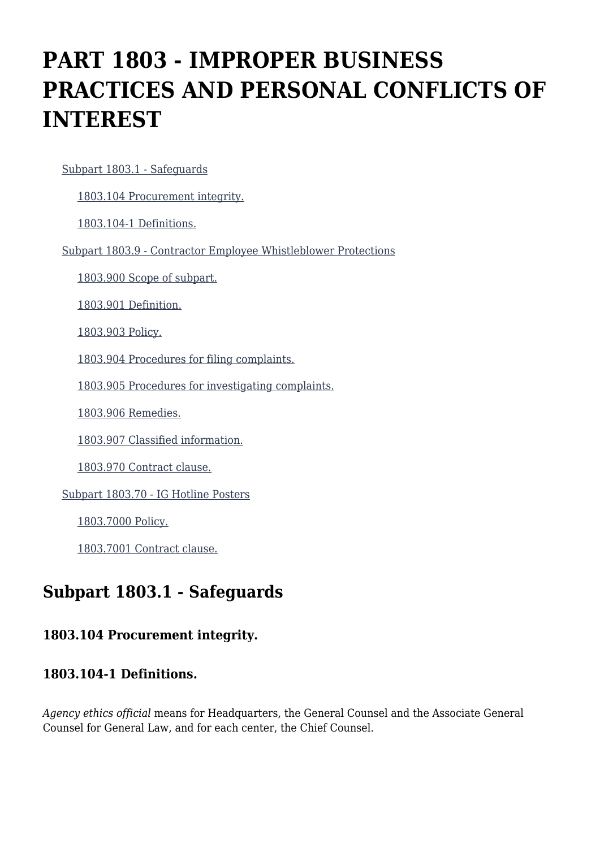# **PART 1803 - IMPROPER BUSINESS PRACTICES AND PERSONAL CONFLICTS OF INTEREST**

[Subpart 1803.1 - Safeguards](https://login.acquisition.gov/%5Brp:link:nfs-part-1803%5D#Subpart_1803_1_T48_6041631)

[1803.104 Procurement integrity.](https://login.acquisition.gov/%5Brp:link:nfs-part-1803%5D#Section_1803_104_T48_604163111)

[1803.104-1 Definitions.](https://login.acquisition.gov/%5Brp:link:nfs-part-1803%5D#Section_1803_104_1_T48_604163112)

[Subpart 1803.9 - Contractor Employee Whistleblower Protections](https://login.acquisition.gov/%5Brp:link:nfs-part-1803%5D#Subpart_1803_9_T48_6041632)

[1803.900 Scope of subpart.](https://login.acquisition.gov/%5Brp:link:nfs-part-1803%5D#Section_1803_900_T48_604163211)

[1803.901 Definition.](https://login.acquisition.gov/%5Brp:link:nfs-part-1803%5D#Section_1803_901_T48_604163212)

[1803.903 Policy.](https://login.acquisition.gov/%5Brp:link:nfs-part-1803%5D#Section_1803_903_T48_604163213)

[1803.904 Procedures for filing complaints.](https://login.acquisition.gov/%5Brp:link:nfs-part-1803%5D#Section_1803_904_T48_604163214)

[1803.905 Procedures for investigating complaints.](https://login.acquisition.gov/%5Brp:link:nfs-part-1803%5D#Section_1803_905_T48_604163215)

[1803.906 Remedies.](https://login.acquisition.gov/%5Brp:link:nfs-part-1803%5D#Section_1803_906_T48_604163216)

[1803.907 Classified information.](https://login.acquisition.gov/%5Brp:link:nfs-part-1803%5D#Section_1803_907_T48_604163217)

[1803.970 Contract clause.](https://login.acquisition.gov/%5Brp:link:nfs-part-1803%5D#Section_1803_970_T48_604163218)

[Subpart 1803.70 - IG Hotline Posters](https://login.acquisition.gov/%5Brp:link:nfs-part-1803%5D#Subpart_1803_70_T48_6041633)

[1803.7000 Policy.](https://login.acquisition.gov/%5Brp:link:nfs-part-1803%5D#Section_1803_7000_T48_604163311)

[1803.7001 Contract clause.](https://login.acquisition.gov/%5Brp:link:nfs-part-1803%5D#Section_1803_7001_T48_604163312)

# **Subpart 1803.1 - Safeguards**

#### **1803.104 Procurement integrity.**

#### **1803.104-1 Definitions.**

*Agency ethics official* means for Headquarters, the General Counsel and the Associate General Counsel for General Law, and for each center, the Chief Counsel.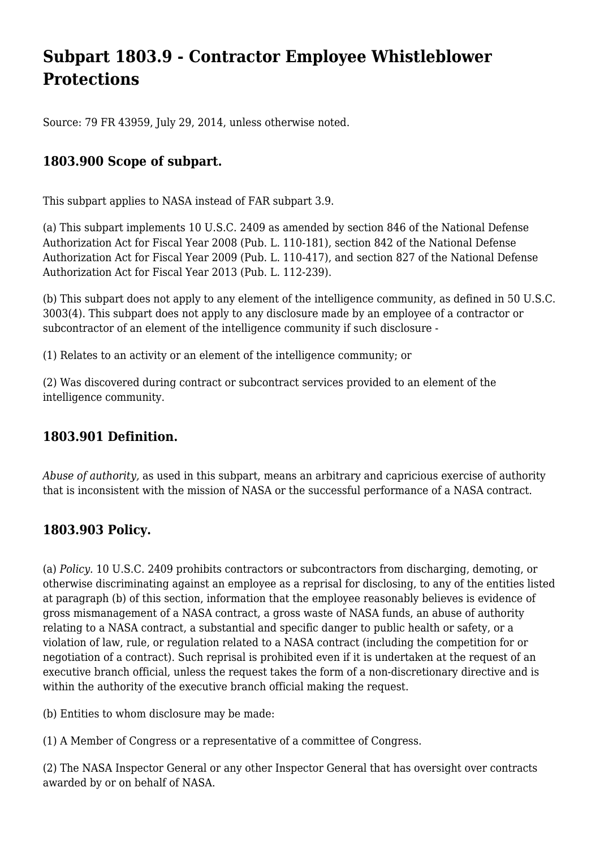# **Subpart 1803.9 - Contractor Employee Whistleblower Protections**

Source: 79 FR 43959, July 29, 2014, unless otherwise noted.

# **1803.900 Scope of subpart.**

This subpart applies to NASA instead of FAR subpart 3.9.

(a) This subpart implements 10 U.S.C. 2409 as amended by section 846 of the National Defense Authorization Act for Fiscal Year 2008 (Pub. L. 110-181), section 842 of the National Defense Authorization Act for Fiscal Year 2009 (Pub. L. 110-417), and section 827 of the National Defense Authorization Act for Fiscal Year 2013 (Pub. L. 112-239).

(b) This subpart does not apply to any element of the intelligence community, as defined in 50 U.S.C. 3003(4). This subpart does not apply to any disclosure made by an employee of a contractor or subcontractor of an element of the intelligence community if such disclosure -

(1) Relates to an activity or an element of the intelligence community; or

(2) Was discovered during contract or subcontract services provided to an element of the intelligence community.

### **1803.901 Definition.**

*Abuse of authority,* as used in this subpart, means an arbitrary and capricious exercise of authority that is inconsistent with the mission of NASA or the successful performance of a NASA contract.

### **1803.903 Policy.**

(a) *Policy.* 10 U.S.C. 2409 prohibits contractors or subcontractors from discharging, demoting, or otherwise discriminating against an employee as a reprisal for disclosing, to any of the entities listed at paragraph (b) of this section, information that the employee reasonably believes is evidence of gross mismanagement of a NASA contract, a gross waste of NASA funds, an abuse of authority relating to a NASA contract, a substantial and specific danger to public health or safety, or a violation of law, rule, or regulation related to a NASA contract (including the competition for or negotiation of a contract). Such reprisal is prohibited even if it is undertaken at the request of an executive branch official, unless the request takes the form of a non-discretionary directive and is within the authority of the executive branch official making the request.

(b) Entities to whom disclosure may be made:

(1) A Member of Congress or a representative of a committee of Congress.

(2) The NASA Inspector General or any other Inspector General that has oversight over contracts awarded by or on behalf of NASA.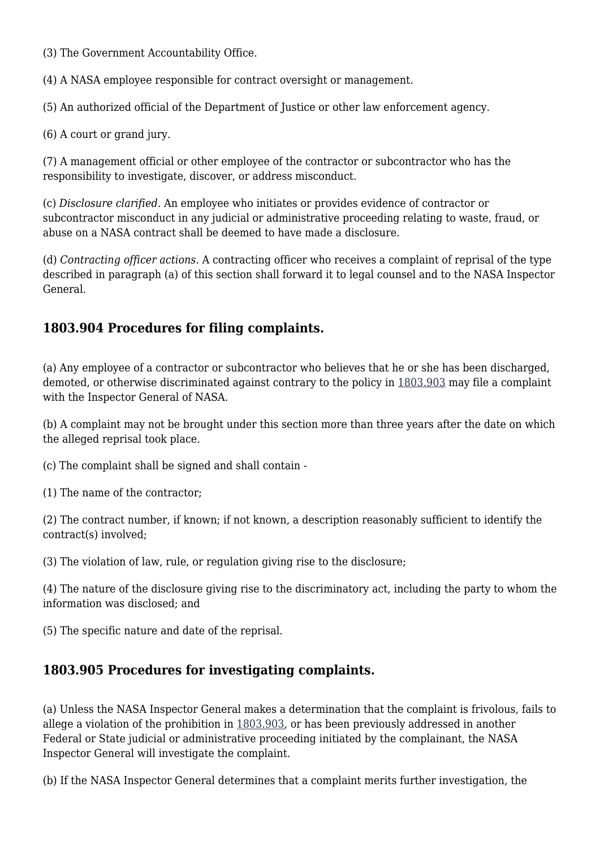(3) The Government Accountability Office.

(4) A NASA employee responsible for contract oversight or management.

(5) An authorized official of the Department of Justice or other law enforcement agency.

(6) A court or grand jury.

(7) A management official or other employee of the contractor or subcontractor who has the responsibility to investigate, discover, or address misconduct.

(c) *Disclosure clarified.* An employee who initiates or provides evidence of contractor or subcontractor misconduct in any judicial or administrative proceeding relating to waste, fraud, or abuse on a NASA contract shall be deemed to have made a disclosure.

(d) *Contracting officer actions.* A contracting officer who receives a complaint of reprisal of the type described in paragraph (a) of this section shall forward it to legal counsel and to the NASA Inspector General.

# **1803.904 Procedures for filing complaints.**

(a) Any employee of a contractor or subcontractor who believes that he or she has been discharged, demoted, or otherwise discriminated against contrary to the policy in [1803.903](https://login.acquisition.gov/%5Brp:link:nfs-part-1803%5D#Section_1803_903_T48_604163213) may file a complaint with the Inspector General of NASA.

(b) A complaint may not be brought under this section more than three years after the date on which the alleged reprisal took place.

(c) The complaint shall be signed and shall contain -

(1) The name of the contractor;

(2) The contract number, if known; if not known, a description reasonably sufficient to identify the contract(s) involved;

(3) The violation of law, rule, or regulation giving rise to the disclosure;

(4) The nature of the disclosure giving rise to the discriminatory act, including the party to whom the information was disclosed; and

(5) The specific nature and date of the reprisal.

# **1803.905 Procedures for investigating complaints.**

(a) Unless the NASA Inspector General makes a determination that the complaint is frivolous, fails to allege a violation of the prohibition in [1803.903](https://login.acquisition.gov/%5Brp:link:nfs-part-1803%5D#Section_1803_903_T48_604163213), or has been previously addressed in another Federal or State judicial or administrative proceeding initiated by the complainant, the NASA Inspector General will investigate the complaint.

(b) If the NASA Inspector General determines that a complaint merits further investigation, the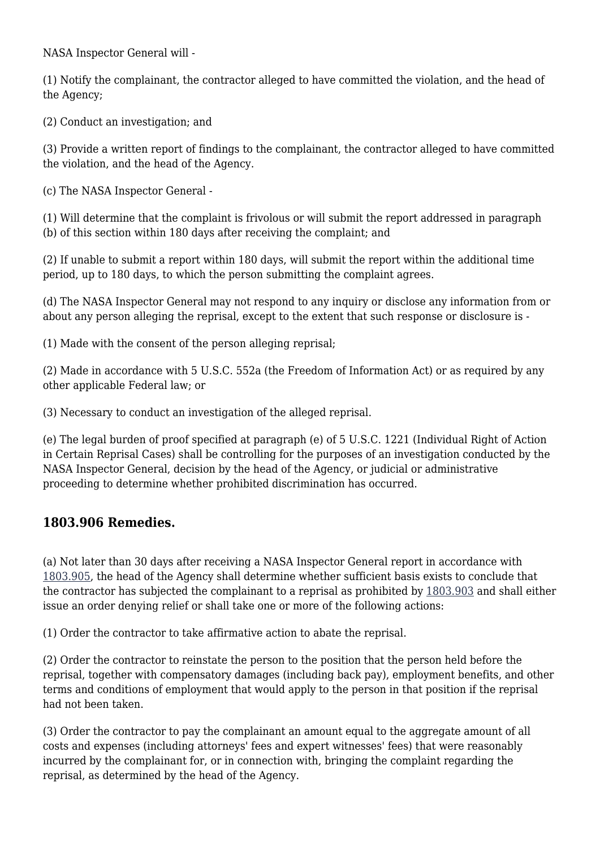NASA Inspector General will -

(1) Notify the complainant, the contractor alleged to have committed the violation, and the head of the Agency;

(2) Conduct an investigation; and

(3) Provide a written report of findings to the complainant, the contractor alleged to have committed the violation, and the head of the Agency.

(c) The NASA Inspector General -

(1) Will determine that the complaint is frivolous or will submit the report addressed in paragraph (b) of this section within 180 days after receiving the complaint; and

(2) If unable to submit a report within 180 days, will submit the report within the additional time period, up to 180 days, to which the person submitting the complaint agrees.

(d) The NASA Inspector General may not respond to any inquiry or disclose any information from or about any person alleging the reprisal, except to the extent that such response or disclosure is -

(1) Made with the consent of the person alleging reprisal;

(2) Made in accordance with 5 U.S.C. 552a (the Freedom of Information Act) or as required by any other applicable Federal law; or

(3) Necessary to conduct an investigation of the alleged reprisal.

(e) The legal burden of proof specified at paragraph (e) of 5 U.S.C. 1221 (Individual Right of Action in Certain Reprisal Cases) shall be controlling for the purposes of an investigation conducted by the NASA Inspector General, decision by the head of the Agency, or judicial or administrative proceeding to determine whether prohibited discrimination has occurred.

### **1803.906 Remedies.**

(a) Not later than 30 days after receiving a NASA Inspector General report in accordance with [1803.905,](https://login.acquisition.gov/%5Brp:link:nfs-part-1803%5D#Section_1803_905_T48_604163215) the head of the Agency shall determine whether sufficient basis exists to conclude that the contractor has subjected the complainant to a reprisal as prohibited by [1803.903](https://login.acquisition.gov/%5Brp:link:nfs-part-1803%5D#Section_1803_903_T48_604163213) and shall either issue an order denying relief or shall take one or more of the following actions:

(1) Order the contractor to take affirmative action to abate the reprisal.

(2) Order the contractor to reinstate the person to the position that the person held before the reprisal, together with compensatory damages (including back pay), employment benefits, and other terms and conditions of employment that would apply to the person in that position if the reprisal had not been taken.

(3) Order the contractor to pay the complainant an amount equal to the aggregate amount of all costs and expenses (including attorneys' fees and expert witnesses' fees) that were reasonably incurred by the complainant for, or in connection with, bringing the complaint regarding the reprisal, as determined by the head of the Agency.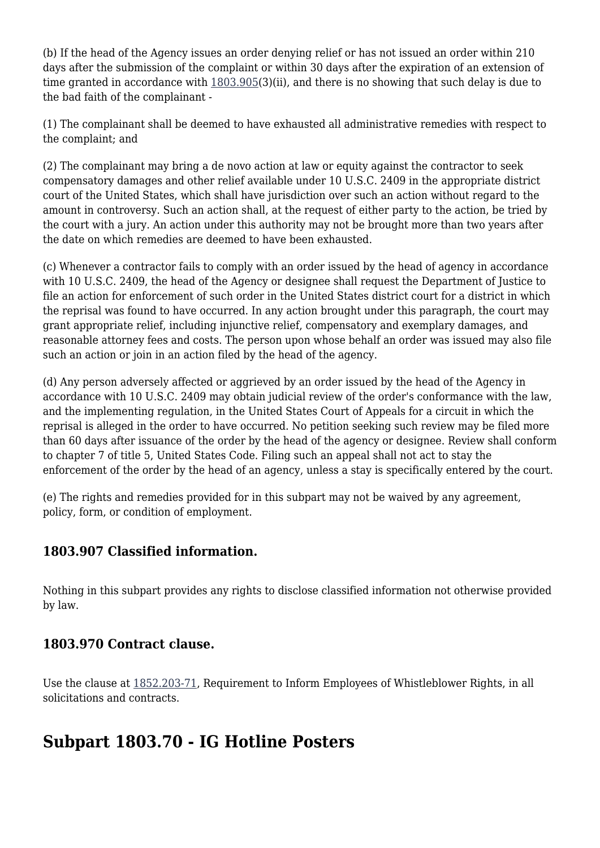(b) If the head of the Agency issues an order denying relief or has not issued an order within 210 days after the submission of the complaint or within 30 days after the expiration of an extension of time granted in accordance with  $1803.905(3)$ (ii), and there is no showing that such delay is due to the bad faith of the complainant -

(1) The complainant shall be deemed to have exhausted all administrative remedies with respect to the complaint; and

(2) The complainant may bring a de novo action at law or equity against the contractor to seek compensatory damages and other relief available under 10 U.S.C. 2409 in the appropriate district court of the United States, which shall have jurisdiction over such an action without regard to the amount in controversy. Such an action shall, at the request of either party to the action, be tried by the court with a jury. An action under this authority may not be brought more than two years after the date on which remedies are deemed to have been exhausted.

(c) Whenever a contractor fails to comply with an order issued by the head of agency in accordance with 10 U.S.C. 2409, the head of the Agency or designee shall request the Department of Justice to file an action for enforcement of such order in the United States district court for a district in which the reprisal was found to have occurred. In any action brought under this paragraph, the court may grant appropriate relief, including injunctive relief, compensatory and exemplary damages, and reasonable attorney fees and costs. The person upon whose behalf an order was issued may also file such an action or join in an action filed by the head of the agency.

(d) Any person adversely affected or aggrieved by an order issued by the head of the Agency in accordance with 10 U.S.C. 2409 may obtain judicial review of the order's conformance with the law, and the implementing regulation, in the United States Court of Appeals for a circuit in which the reprisal is alleged in the order to have occurred. No petition seeking such review may be filed more than 60 days after issuance of the order by the head of the agency or designee. Review shall conform to chapter 7 of title 5, United States Code. Filing such an appeal shall not act to stay the enforcement of the order by the head of an agency, unless a stay is specifically entered by the court.

(e) The rights and remedies provided for in this subpart may not be waived by any agreement, policy, form, or condition of employment.

# **1803.907 Classified information.**

Nothing in this subpart provides any rights to disclose classified information not otherwise provided by law.

# **1803.970 Contract clause.**

Use the clause at [1852.203-71](https://login.acquisition.gov/%5Brp:link:nfs-part-1852%5D#Section_1852_203_71_T48_6042344112), Requirement to Inform Employees of Whistleblower Rights, in all solicitations and contracts.

# **Subpart 1803.70 - IG Hotline Posters**